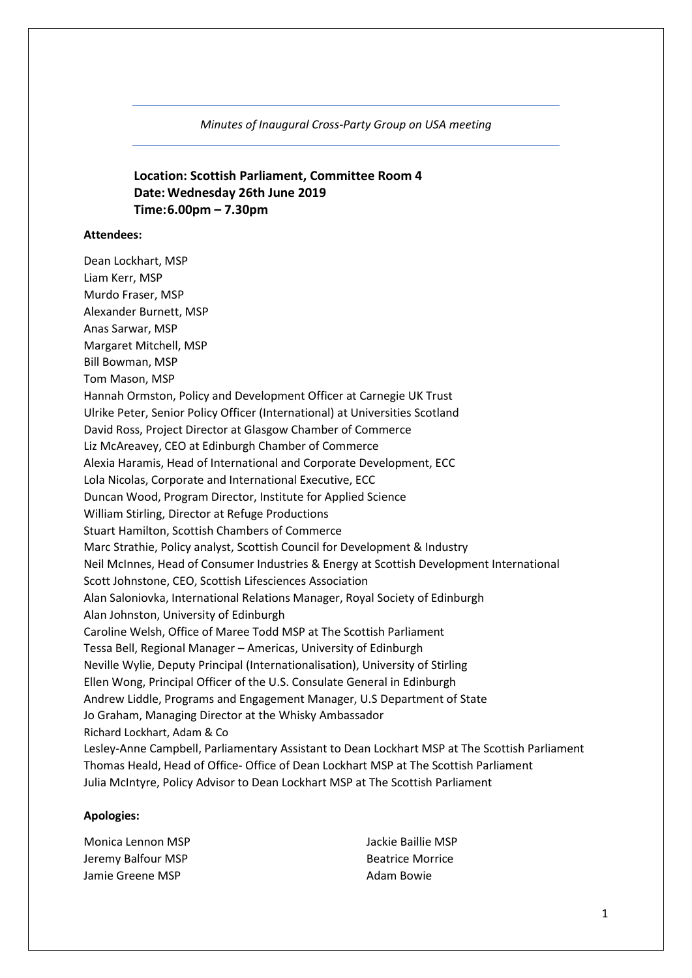*Minutes of Inaugural Cross-Party Group on USA meeting*

## **Location: Scottish Parliament, Committee Room 4 Date: Wednesday 26th June 2019 Time:6.00pm – 7.30pm**

#### **Attendees:**

Dean Lockhart, MSP Liam Kerr, MSP Murdo Fraser, MSP Alexander Burnett, MSP Anas Sarwar, MSP Margaret Mitchell, MSP Bill Bowman, MSP Tom Mason, MSP Hannah Ormston, Policy and Development Officer at Carnegie UK Trust Ulrike Peter, Senior Policy Officer (International) at Universities Scotland David Ross, Project Director at Glasgow Chamber of Commerce Liz McAreavey, CEO at Edinburgh Chamber of Commerce Alexia Haramis, Head of International and Corporate Development, ECC Lola Nicolas, Corporate and International Executive, ECC Duncan Wood, Program Director, Institute for Applied Science William Stirling, Director at Refuge Productions Stuart Hamilton, Scottish Chambers of Commerce Marc Strathie, Policy analyst, Scottish Council for Development & Industry Neil McInnes, Head of Consumer Industries & Energy at Scottish Development International Scott Johnstone, CEO, Scottish Lifesciences Association Alan Saloniovka, International Relations Manager, Royal Society of Edinburgh Alan Johnston, University of Edinburgh Caroline Welsh, Office of Maree Todd MSP at The Scottish Parliament Tessa Bell, Regional Manager – Americas, University of Edinburgh Neville Wylie, Deputy Principal (Internationalisation), University of Stirling Ellen Wong, Principal Officer of the U.S. Consulate General in Edinburgh Andrew Liddle, Programs and Engagement Manager, U.S Department of State Jo Graham, Managing Director at the Whisky Ambassador Richard Lockhart, Adam & Co Lesley-Anne Campbell, Parliamentary Assistant to Dean Lockhart MSP at The Scottish Parliament Thomas Heald, Head of Office- Office of Dean Lockhart MSP at The Scottish Parliament Julia McIntyre, Policy Advisor to Dean Lockhart MSP at The Scottish Parliament

#### **Apologies:**

Monica Lennon MSP Jeremy Balfour MSP Jamie Greene MSP

Jackie Baillie MSP Beatrice Morrice Adam Bowie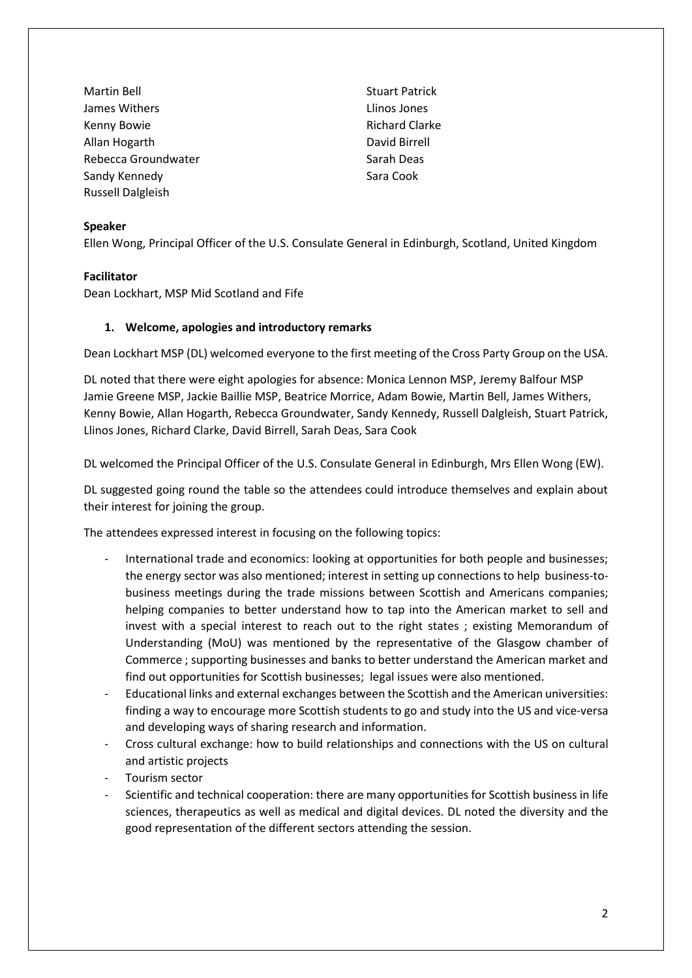Martin Bell James Withers Kenny Bowie Allan Hogarth Rebecca Groundwater Sandy Kennedy Russell Dalgleish

Stuart Patrick Llinos Jones Richard Clarke David Birrell Sarah Deas Sara Cook

#### **Speaker**

Ellen Wong, Principal Officer of the U.S. Consulate General in Edinburgh, Scotland, United Kingdom

### **Facilitator**

Dean Lockhart, MSP Mid Scotland and Fife

### **1. Welcome, apologies and introductory remarks**

Dean Lockhart MSP (DL) welcomed everyone to the first meeting of the Cross Party Group on the USA.

DL noted that there were eight apologies for absence: Monica Lennon MSP, Jeremy Balfour MSP Jamie Greene MSP, Jackie Baillie MSP, Beatrice Morrice, Adam Bowie, Martin Bell, James Withers, Kenny Bowie, Allan Hogarth, Rebecca Groundwater, Sandy Kennedy, Russell Dalgleish, Stuart Patrick, Llinos Jones, Richard Clarke, David Birrell, Sarah Deas, Sara Cook

DL welcomed the Principal Officer of the U.S. Consulate General in Edinburgh, Mrs Ellen Wong (EW).

DL suggested going round the table so the attendees could introduce themselves and explain about their interest for joining the group.

The attendees expressed interest in focusing on the following topics:

- International trade and economics: looking at opportunities for both people and businesses; the energy sector was also mentioned; interest in setting up connections to help business-tobusiness meetings during the trade missions between Scottish and Americans companies; helping companies to better understand how to tap into the American market to sell and invest with a special interest to reach out to the right states ; existing Memorandum of Understanding (MoU) was mentioned by the representative of the Glasgow chamber of Commerce ; supporting businesses and banks to better understand the American market and find out opportunities for Scottish businesses; legal issues were also mentioned.
- Educational links and external exchanges between the Scottish and the American universities: finding a way to encourage more Scottish students to go and study into the US and vice-versa and developing ways of sharing research and information.
- Cross cultural exchange: how to build relationships and connections with the US on cultural and artistic projects
- Tourism sector
- Scientific and technical cooperation: there are many opportunities for Scottish business in life sciences, therapeutics as well as medical and digital devices. DL noted the diversity and the good representation of the different sectors attending the session.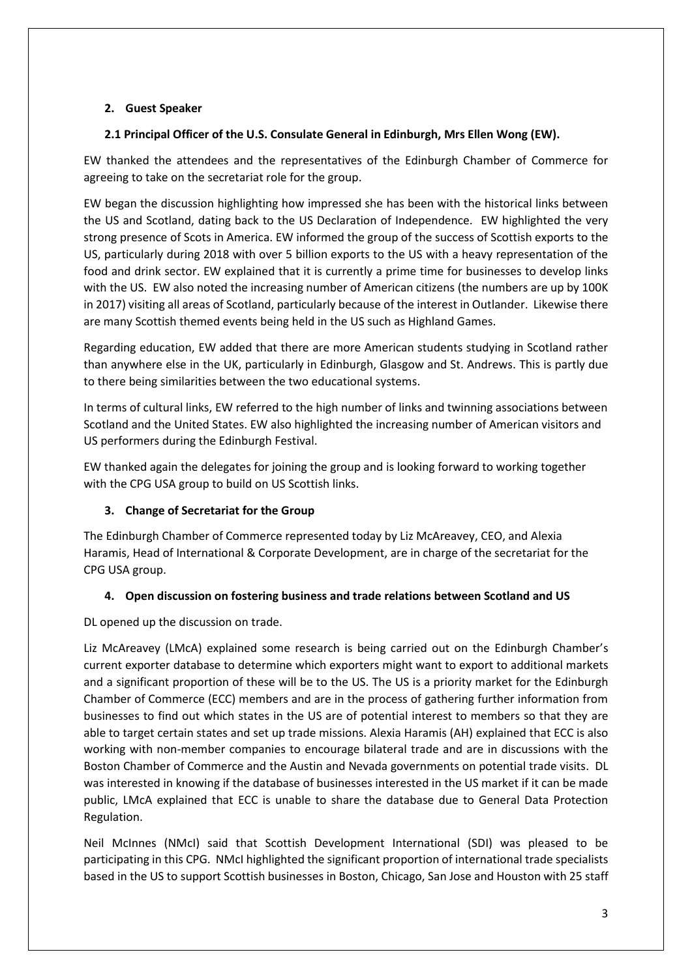## **2. Guest Speaker**

## **2.1 Principal Officer of the U.S. Consulate General in Edinburgh, Mrs Ellen Wong (EW).**

EW thanked the attendees and the representatives of the Edinburgh Chamber of Commerce for agreeing to take on the secretariat role for the group.

EW began the discussion highlighting how impressed she has been with the historical links between the US and Scotland, dating back to the US Declaration of Independence. EW highlighted the very strong presence of Scots in America. EW informed the group of the success of Scottish exports to the US, particularly during 2018 with over 5 billion exports to the US with a heavy representation of the food and drink sector. EW explained that it is currently a prime time for businesses to develop links with the US. EW also noted the increasing number of American citizens (the numbers are up by 100K in 2017) visiting all areas of Scotland, particularly because of the interest in Outlander. Likewise there are many Scottish themed events being held in the US such as Highland Games.

Regarding education, EW added that there are more American students studying in Scotland rather than anywhere else in the UK, particularly in Edinburgh, Glasgow and St. Andrews. This is partly due to there being similarities between the two educational systems.

In terms of cultural links, EW referred to the high number of links and twinning associations between Scotland and the United States. EW also highlighted the increasing number of American visitors and US performers during the Edinburgh Festival.

EW thanked again the delegates for joining the group and is looking forward to working together with the CPG USA group to build on US Scottish links.

### **3. Change of Secretariat for the Group**

The Edinburgh Chamber of Commerce represented today by Liz McAreavey, CEO, and Alexia Haramis, Head of International & Corporate Development, are in charge of the secretariat for the CPG USA group.

### **4. Open discussion on fostering business and trade relations between Scotland and US**

DL opened up the discussion on trade.

Liz McAreavey (LMcA) explained some research is being carried out on the Edinburgh Chamber's current exporter database to determine which exporters might want to export to additional markets and a significant proportion of these will be to the US. The US is a priority market for the Edinburgh Chamber of Commerce (ECC) members and are in the process of gathering further information from businesses to find out which states in the US are of potential interest to members so that they are able to target certain states and set up trade missions. Alexia Haramis (AH) explained that ECC is also working with non-member companies to encourage bilateral trade and are in discussions with the Boston Chamber of Commerce and the Austin and Nevada governments on potential trade visits. DL was interested in knowing if the database of businesses interested in the US market if it can be made public, LMcA explained that ECC is unable to share the database due to General Data Protection Regulation.

Neil McInnes (NMcI) said that Scottish Development International (SDI) was pleased to be participating in this CPG. NMcI highlighted the significant proportion of international trade specialists based in the US to support Scottish businesses in Boston, Chicago, San Jose and Houston with 25 staff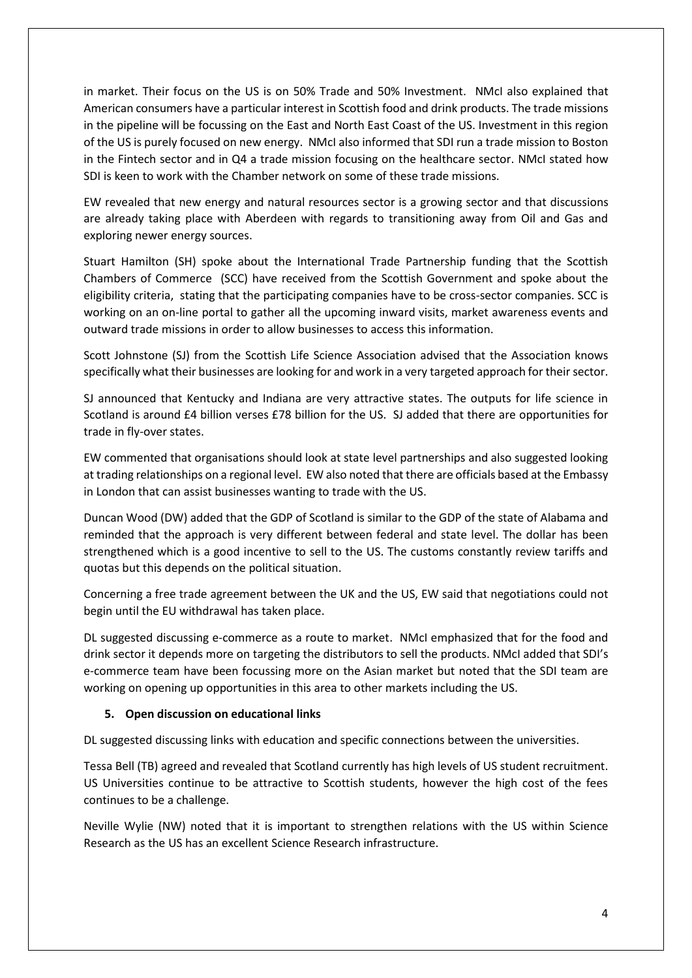in market. Their focus on the US is on 50% Trade and 50% Investment. NMcI also explained that American consumers have a particular interest in Scottish food and drink products. The trade missions in the pipeline will be focussing on the East and North East Coast of the US. Investment in this region of the US is purely focused on new energy. NMcI also informed that SDI run a trade mission to Boston in the Fintech sector and in Q4 a trade mission focusing on the healthcare sector. NMcI stated how SDI is keen to work with the Chamber network on some of these trade missions.

EW revealed that new energy and natural resources sector is a growing sector and that discussions are already taking place with Aberdeen with regards to transitioning away from Oil and Gas and exploring newer energy sources.

Stuart Hamilton (SH) spoke about the International Trade Partnership funding that the Scottish Chambers of Commerce (SCC) have received from the Scottish Government and spoke about the eligibility criteria, stating that the participating companies have to be cross-sector companies. SCC is working on an on-line portal to gather all the upcoming inward visits, market awareness events and outward trade missions in order to allow businesses to access this information.

Scott Johnstone (SJ) from the Scottish Life Science Association advised that the Association knows specifically what their businesses are looking for and work in a very targeted approach for their sector.

SJ announced that Kentucky and Indiana are very attractive states. The outputs for life science in Scotland is around £4 billion verses £78 billion for the US. SJ added that there are opportunities for trade in fly-over states.

EW commented that organisations should look at state level partnerships and also suggested looking at trading relationships on a regional level. EW also noted that there are officials based at the Embassy in London that can assist businesses wanting to trade with the US.

Duncan Wood (DW) added that the GDP of Scotland is similar to the GDP of the state of Alabama and reminded that the approach is very different between federal and state level. The dollar has been strengthened which is a good incentive to sell to the US. The customs constantly review tariffs and quotas but this depends on the political situation.

Concerning a free trade agreement between the UK and the US, EW said that negotiations could not begin until the EU withdrawal has taken place.

DL suggested discussing e-commerce as a route to market. NMcI emphasized that for the food and drink sector it depends more on targeting the distributors to sell the products. NMcI added that SDI's e-commerce team have been focussing more on the Asian market but noted that the SDI team are working on opening up opportunities in this area to other markets including the US.

#### **5. Open discussion on educational links**

DL suggested discussing links with education and specific connections between the universities.

Tessa Bell (TB) agreed and revealed that Scotland currently has high levels of US student recruitment. US Universities continue to be attractive to Scottish students, however the high cost of the fees continues to be a challenge.

Neville Wylie (NW) noted that it is important to strengthen relations with the US within Science Research as the US has an excellent Science Research infrastructure.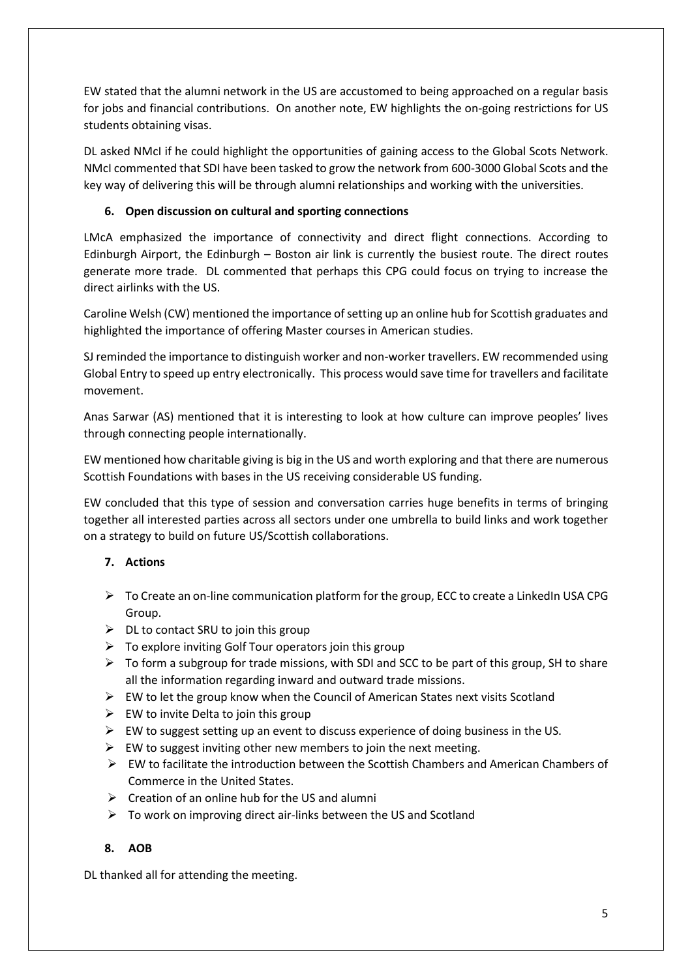EW stated that the alumni network in the US are accustomed to being approached on a regular basis for jobs and financial contributions. On another note, EW highlights the on-going restrictions for US students obtaining visas.

DL asked NMcI if he could highlight the opportunities of gaining access to the Global Scots Network. NMcI commented that SDI have been tasked to grow the network from 600-3000 Global Scots and the key way of delivering this will be through alumni relationships and working with the universities.

## **6. Open discussion on cultural and sporting connections**

LMcA emphasized the importance of connectivity and direct flight connections. According to Edinburgh Airport, the Edinburgh – Boston air link is currently the busiest route. The direct routes generate more trade. DL commented that perhaps this CPG could focus on trying to increase the direct airlinks with the US.

Caroline Welsh (CW) mentioned the importance of setting up an online hub for Scottish graduates and highlighted the importance of offering Master courses in American studies.

SJ reminded the importance to distinguish worker and non-worker travellers. EW recommended using Global Entry to speed up entry electronically. This process would save time for travellers and facilitate movement.

Anas Sarwar (AS) mentioned that it is interesting to look at how culture can improve peoples' lives through connecting people internationally.

EW mentioned how charitable giving is big in the US and worth exploring and that there are numerous Scottish Foundations with bases in the US receiving considerable US funding.

EW concluded that this type of session and conversation carries huge benefits in terms of bringing together all interested parties across all sectors under one umbrella to build links and work together on a strategy to build on future US/Scottish collaborations.

## **7. Actions**

- $\triangleright$  To Create an on-line communication platform for the group, ECC to create a LinkedIn USA CPG Group.
- $\triangleright$  DL to contact SRU to join this group
- $\triangleright$  To explore inviting Golf Tour operators join this group
- $\triangleright$  To form a subgroup for trade missions, with SDI and SCC to be part of this group, SH to share all the information regarding inward and outward trade missions.
- $\triangleright$  EW to let the group know when the Council of American States next visits Scotland
- $\triangleright$  EW to invite Delta to join this group
- $\triangleright$  EW to suggest setting up an event to discuss experience of doing business in the US.
- $\triangleright$  EW to suggest inviting other new members to join the next meeting.
- ➢ EW to facilitate the introduction between the Scottish Chambers and American Chambers of Commerce in the United States.
- $\triangleright$  Creation of an online hub for the US and alumni
- $\triangleright$  To work on improving direct air-links between the US and Scotland

### **8. AOB**

DL thanked all for attending the meeting.